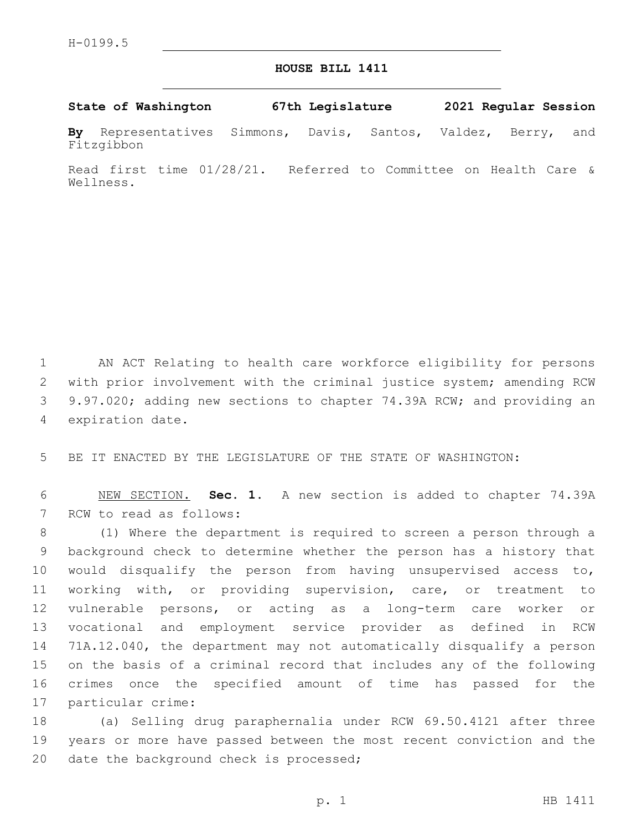## **HOUSE BILL 1411**

## **State of Washington 67th Legislature 2021 Regular Session**

**By** Representatives Simmons, Davis, Santos, Valdez, Berry, and Fitzgibbon

Read first time 01/28/21. Referred to Committee on Health Care & Wellness.

 AN ACT Relating to health care workforce eligibility for persons with prior involvement with the criminal justice system; amending RCW 9.97.020; adding new sections to chapter 74.39A RCW; and providing an 4 expiration date.

5 BE IT ENACTED BY THE LEGISLATURE OF THE STATE OF WASHINGTON:

6 NEW SECTION. **Sec. 1.** A new section is added to chapter 74.39A 7 RCW to read as follows:

 (1) Where the department is required to screen a person through a background check to determine whether the person has a history that would disqualify the person from having unsupervised access to, working with, or providing supervision, care, or treatment to vulnerable persons, or acting as a long-term care worker or vocational and employment service provider as defined in RCW 71A.12.040, the department may not automatically disqualify a person on the basis of a criminal record that includes any of the following crimes once the specified amount of time has passed for the 17 particular crime:

18 (a) Selling drug paraphernalia under RCW 69.50.4121 after three 19 years or more have passed between the most recent conviction and the 20 date the background check is processed;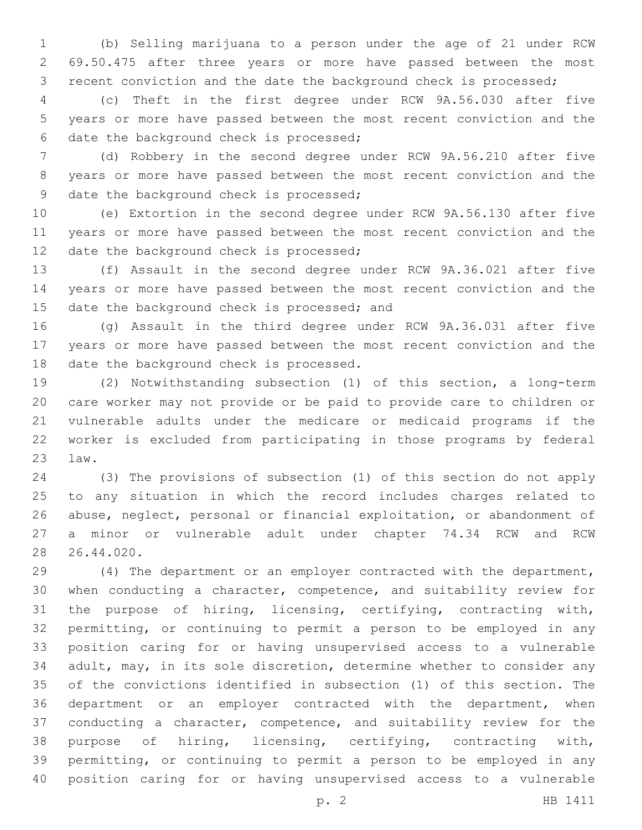(b) Selling marijuana to a person under the age of 21 under RCW 69.50.475 after three years or more have passed between the most recent conviction and the date the background check is processed;

 (c) Theft in the first degree under RCW 9A.56.030 after five years or more have passed between the most recent conviction and the 6 date the background check is processed;

 (d) Robbery in the second degree under RCW 9A.56.210 after five years or more have passed between the most recent conviction and the 9 date the background check is processed;

 (e) Extortion in the second degree under RCW 9A.56.130 after five years or more have passed between the most recent conviction and the 12 date the background check is processed;

 (f) Assault in the second degree under RCW 9A.36.021 after five years or more have passed between the most recent conviction and the 15 date the background check is processed; and

 (g) Assault in the third degree under RCW 9A.36.031 after five years or more have passed between the most recent conviction and the 18 date the background check is processed.

 (2) Notwithstanding subsection (1) of this section, a long-term care worker may not provide or be paid to provide care to children or vulnerable adults under the medicare or medicaid programs if the worker is excluded from participating in those programs by federal law.23

 (3) The provisions of subsection (1) of this section do not apply to any situation in which the record includes charges related to abuse, neglect, personal or financial exploitation, or abandonment of a minor or vulnerable adult under chapter 74.34 RCW and RCW 26.44.020.

 (4) The department or an employer contracted with the department, when conducting a character, competence, and suitability review for the purpose of hiring, licensing, certifying, contracting with, permitting, or continuing to permit a person to be employed in any position caring for or having unsupervised access to a vulnerable adult, may, in its sole discretion, determine whether to consider any of the convictions identified in subsection (1) of this section. The department or an employer contracted with the department, when conducting a character, competence, and suitability review for the purpose of hiring, licensing, certifying, contracting with, permitting, or continuing to permit a person to be employed in any position caring for or having unsupervised access to a vulnerable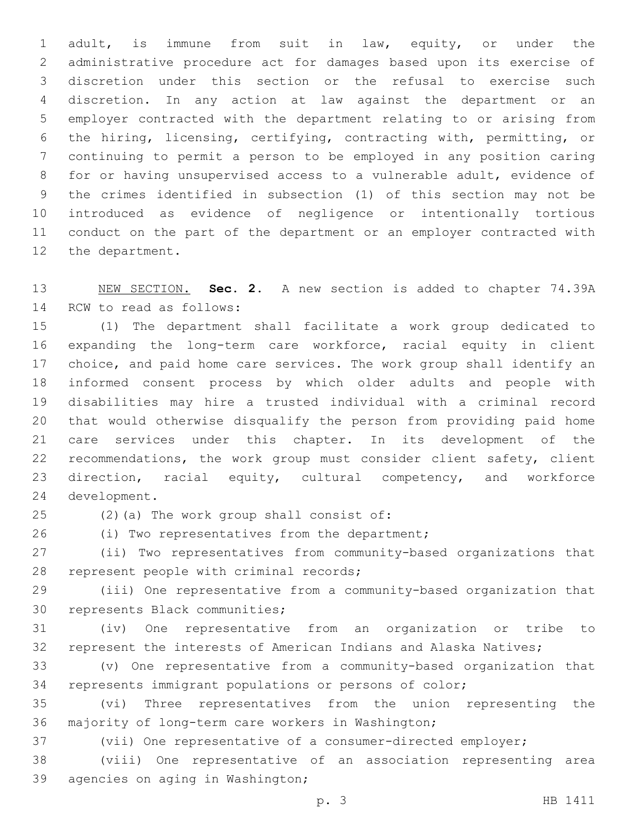adult, is immune from suit in law, equity, or under the administrative procedure act for damages based upon its exercise of discretion under this section or the refusal to exercise such discretion. In any action at law against the department or an employer contracted with the department relating to or arising from the hiring, licensing, certifying, contracting with, permitting, or continuing to permit a person to be employed in any position caring for or having unsupervised access to a vulnerable adult, evidence of the crimes identified in subsection (1) of this section may not be introduced as evidence of negligence or intentionally tortious conduct on the part of the department or an employer contracted with 12 the department.

 NEW SECTION. **Sec. 2.** A new section is added to chapter 74.39A 14 RCW to read as follows:

 (1) The department shall facilitate a work group dedicated to expanding the long-term care workforce, racial equity in client choice, and paid home care services. The work group shall identify an informed consent process by which older adults and people with disabilities may hire a trusted individual with a criminal record that would otherwise disqualify the person from providing paid home care services under this chapter. In its development of the recommendations, the work group must consider client safety, client direction, racial equity, cultural competency, and workforce 24 development.

25 (2)(a) The work group shall consist of:

26 (i) Two representatives from the department;

 (ii) Two representatives from community-based organizations that 28 represent people with criminal records;

 (iii) One representative from a community-based organization that 30 represents Black communities;

 (iv) One representative from an organization or tribe to represent the interests of American Indians and Alaska Natives;

 (v) One representative from a community-based organization that represents immigrant populations or persons of color;

 (vi) Three representatives from the union representing the 36 majority of long-term care workers in Washington;

(vii) One representative of a consumer-directed employer;

 (viii) One representative of an association representing area 39 agencies on aging in Washington;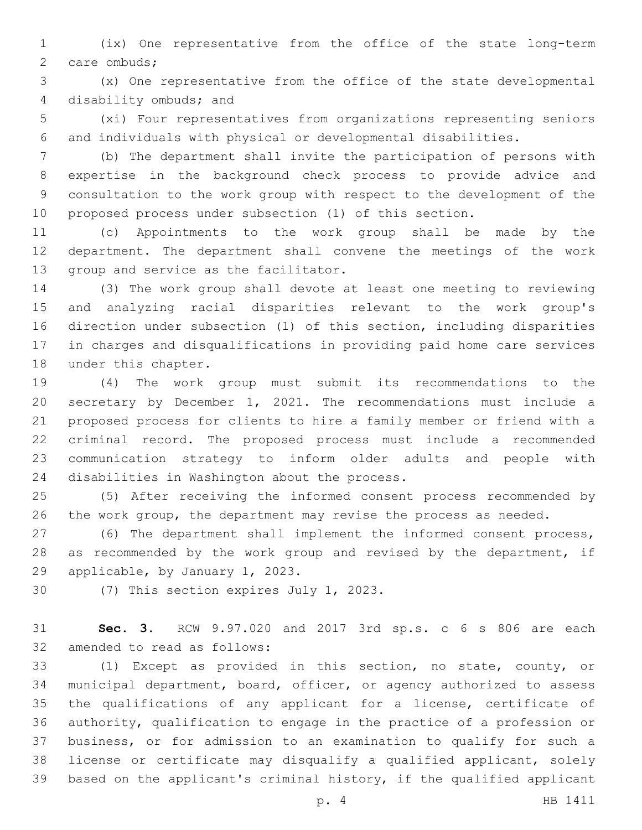(ix) One representative from the office of the state long-term 2 care ombuds;

 (x) One representative from the office of the state developmental 4 disability ombuds; and

 (xi) Four representatives from organizations representing seniors and individuals with physical or developmental disabilities.

 (b) The department shall invite the participation of persons with expertise in the background check process to provide advice and consultation to the work group with respect to the development of the proposed process under subsection (1) of this section.

 (c) Appointments to the work group shall be made by the department. The department shall convene the meetings of the work 13 group and service as the facilitator.

 (3) The work group shall devote at least one meeting to reviewing and analyzing racial disparities relevant to the work group's direction under subsection (1) of this section, including disparities in charges and disqualifications in providing paid home care services 18 under this chapter.

 (4) The work group must submit its recommendations to the secretary by December 1, 2021. The recommendations must include a proposed process for clients to hire a family member or friend with a criminal record. The proposed process must include a recommended communication strategy to inform older adults and people with 24 disabilities in Washington about the process.

 (5) After receiving the informed consent process recommended by 26 the work group, the department may revise the process as needed.

 (6) The department shall implement the informed consent process, 28 as recommended by the work group and revised by the department, if 29 applicable, by January 1, 2023.

30 (7) This section expires July 1, 2023.

 **Sec. 3.** RCW 9.97.020 and 2017 3rd sp.s. c 6 s 806 are each 32 amended to read as follows:

 (1) Except as provided in this section, no state, county, or municipal department, board, officer, or agency authorized to assess the qualifications of any applicant for a license, certificate of authority, qualification to engage in the practice of a profession or business, or for admission to an examination to qualify for such a license or certificate may disqualify a qualified applicant, solely based on the applicant's criminal history, if the qualified applicant

p. 4 HB 1411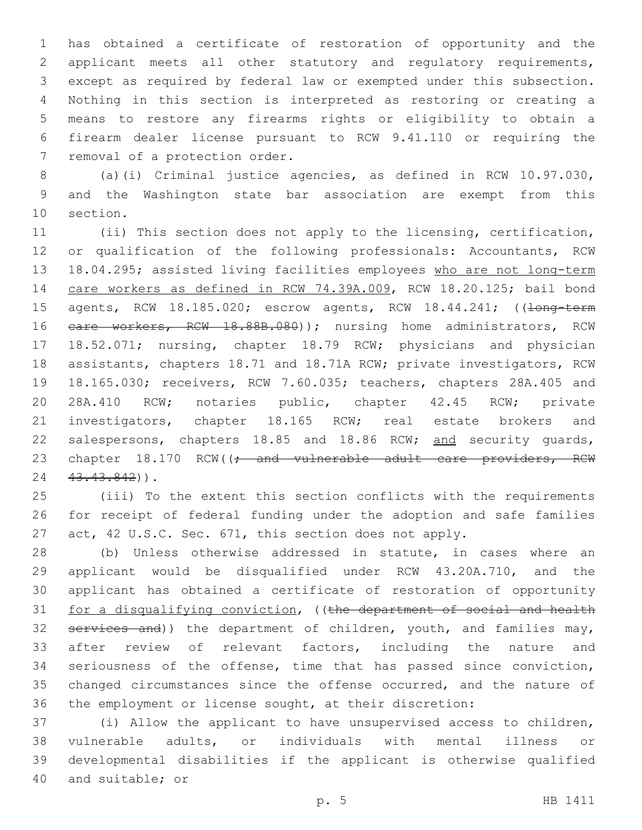has obtained a certificate of restoration of opportunity and the applicant meets all other statutory and regulatory requirements, except as required by federal law or exempted under this subsection. Nothing in this section is interpreted as restoring or creating a means to restore any firearms rights or eligibility to obtain a firearm dealer license pursuant to RCW 9.41.110 or requiring the 7 removal of a protection order.

 (a)(i) Criminal justice agencies, as defined in RCW 10.97.030, and the Washington state bar association are exempt from this 10 section.

 (ii) This section does not apply to the licensing, certification, or qualification of the following professionals: Accountants, RCW 18.04.295; assisted living facilities employees who are not long-term care workers as defined in RCW 74.39A.009, RCW 18.20.125; bail bond 15 agents, RCW 18.185.020; escrow agents, RCW 18.44.241; ((long-term 16 eare workers, RCW 18.88B.080)); nursing home administrators, RCW 18.52.071; nursing, chapter 18.79 RCW; physicians and physician assistants, chapters 18.71 and 18.71A RCW; private investigators, RCW 18.165.030; receivers, RCW 7.60.035; teachers, chapters 28A.405 and 28A.410 RCW; notaries public, chapter 42.45 RCW; private 21 investigators, chapter 18.165 RCW; real estate brokers and 22 salespersons, chapters 18.85 and 18.86 RCW; and security quards, 23 chapter 18.170 RCW((; and vulnerable adult care providers, RCW 24 43.43.842)).

 (iii) To the extent this section conflicts with the requirements for receipt of federal funding under the adoption and safe families act, 42 U.S.C. Sec. 671, this section does not apply.

 (b) Unless otherwise addressed in statute, in cases where an applicant would be disqualified under RCW 43.20A.710, and the applicant has obtained a certificate of restoration of opportunity 31 for a disqualifying conviction, ((the department of social and health 32 services and)) the department of children, youth, and families may, after review of relevant factors, including the nature and seriousness of the offense, time that has passed since conviction, 35 changed circumstances since the offense occurred, and the nature of the employment or license sought, at their discretion:

 (i) Allow the applicant to have unsupervised access to children, vulnerable adults, or individuals with mental illness or developmental disabilities if the applicant is otherwise qualified 40 and suitable; or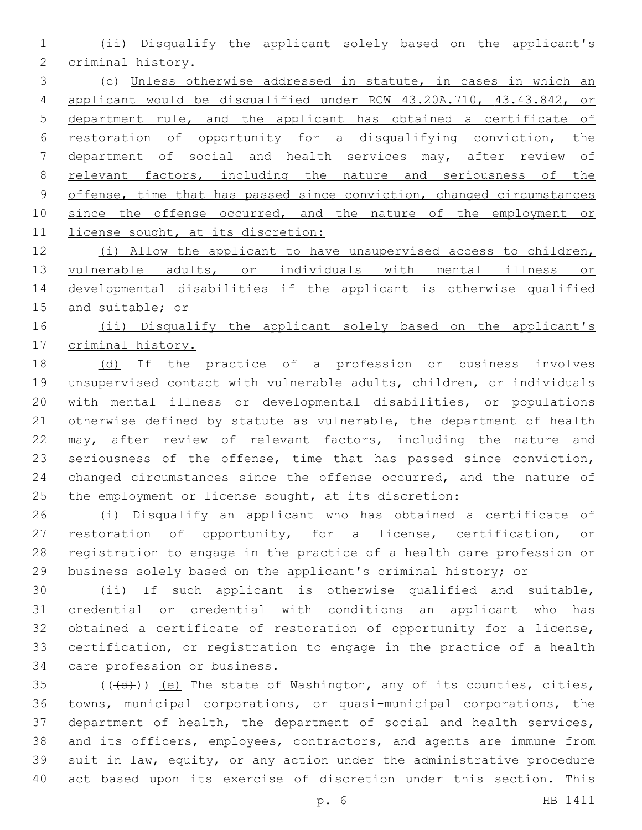(ii) Disqualify the applicant solely based on the applicant's 2 criminal history.

 (c) Unless otherwise addressed in statute, in cases in which an applicant would be disqualified under RCW 43.20A.710, 43.43.842, or department rule, and the applicant has obtained a certificate of restoration of opportunity for a disqualifying conviction, the department of social and health services may, after review of relevant factors, including the nature and seriousness of the 9 offense, time that has passed since conviction, changed circumstances 10 since the offense occurred, and the nature of the employment or 11 license sought, at its discretion:

 (i) Allow the applicant to have unsupervised access to children, vulnerable adults, or individuals with mental illness or developmental disabilities if the applicant is otherwise qualified and suitable; or

16 (ii) Disqualify the applicant solely based on the applicant's criminal history.

 (d) If the practice of a profession or business involves unsupervised contact with vulnerable adults, children, or individuals with mental illness or developmental disabilities, or populations otherwise defined by statute as vulnerable, the department of health may, after review of relevant factors, including the nature and seriousness of the offense, time that has passed since conviction, 24 changed circumstances since the offense occurred, and the nature of the employment or license sought, at its discretion:

 (i) Disqualify an applicant who has obtained a certificate of restoration of opportunity, for a license, certification, or registration to engage in the practice of a health care profession or business solely based on the applicant's criminal history; or

 (ii) If such applicant is otherwise qualified and suitable, credential or credential with conditions an applicant who has obtained a certificate of restoration of opportunity for a license, certification, or registration to engage in the practice of a health 34 care profession or business.

 (( $\left(\frac{1}{d} \right)$ ) (e) The state of Washington, any of its counties, cities, towns, municipal corporations, or quasi-municipal corporations, the 37 department of health, the department of social and health services, and its officers, employees, contractors, and agents are immune from suit in law, equity, or any action under the administrative procedure act based upon its exercise of discretion under this section. This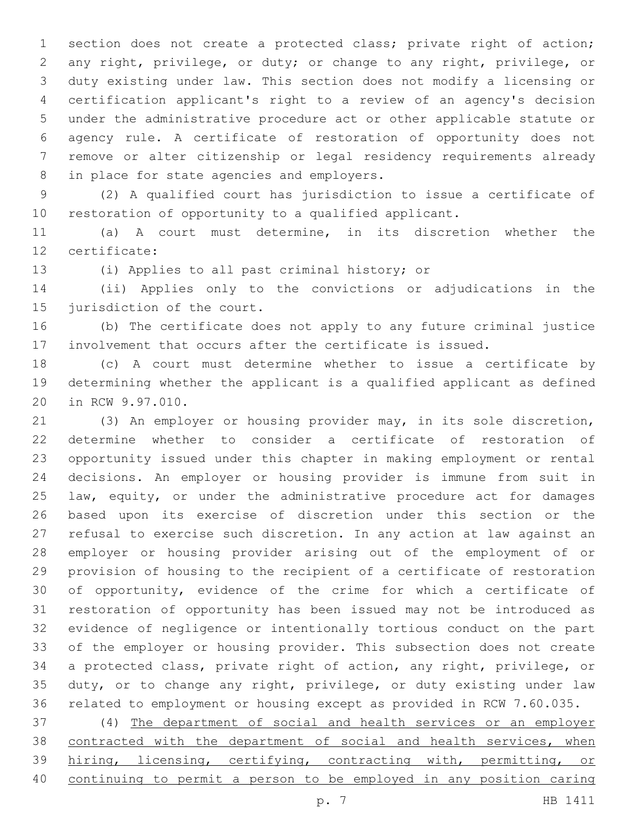section does not create a protected class; private right of action; any right, privilege, or duty; or change to any right, privilege, or duty existing under law. This section does not modify a licensing or certification applicant's right to a review of an agency's decision under the administrative procedure act or other applicable statute or agency rule. A certificate of restoration of opportunity does not remove or alter citizenship or legal residency requirements already 8 in place for state agencies and employers.

 (2) A qualified court has jurisdiction to issue a certificate of restoration of opportunity to a qualified applicant.

 (a) A court must determine, in its discretion whether the 12 certificate:

13 (i) Applies to all past criminal history; or

 (ii) Applies only to the convictions or adjudications in the 15 jurisdiction of the court.

 (b) The certificate does not apply to any future criminal justice involvement that occurs after the certificate is issued.

 (c) A court must determine whether to issue a certificate by determining whether the applicant is a qualified applicant as defined 20 in RCW 9.97.010.

 (3) An employer or housing provider may, in its sole discretion, determine whether to consider a certificate of restoration of opportunity issued under this chapter in making employment or rental decisions. An employer or housing provider is immune from suit in law, equity, or under the administrative procedure act for damages based upon its exercise of discretion under this section or the refusal to exercise such discretion. In any action at law against an employer or housing provider arising out of the employment of or provision of housing to the recipient of a certificate of restoration of opportunity, evidence of the crime for which a certificate of restoration of opportunity has been issued may not be introduced as evidence of negligence or intentionally tortious conduct on the part of the employer or housing provider. This subsection does not create a protected class, private right of action, any right, privilege, or duty, or to change any right, privilege, or duty existing under law related to employment or housing except as provided in RCW 7.60.035.

 (4) The department of social and health services or an employer 38 contracted with the department of social and health services, when 39 hiring, licensing, certifying, contracting with, permitting, or continuing to permit a person to be employed in any position caring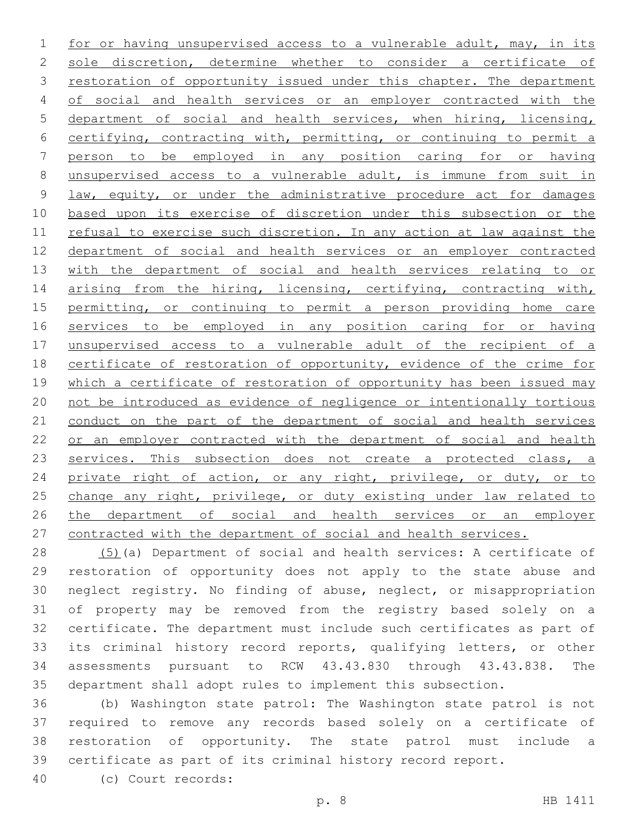1 for or having unsupervised access to a vulnerable adult, may, in its sole discretion, determine whether to consider a certificate of restoration of opportunity issued under this chapter. The department of social and health services or an employer contracted with the department of social and health services, when hiring, licensing, certifying, contracting with, permitting, or continuing to permit a person to be employed in any position caring for or having unsupervised access to a vulnerable adult, is immune from suit in 9 law, equity, or under the administrative procedure act for damages based upon its exercise of discretion under this subsection or the refusal to exercise such discretion. In any action at law against the department of social and health services or an employer contracted with the department of social and health services relating to or 14 arising from the hiring, licensing, certifying, contracting with, permitting, or continuing to permit a person providing home care services to be employed in any position caring for or having unsupervised access to a vulnerable adult of the recipient of a certificate of restoration of opportunity, evidence of the crime for 19 which a certificate of restoration of opportunity has been issued may not be introduced as evidence of negligence or intentionally tortious conduct on the part of the department of social and health services 22 or an employer contracted with the department of social and health 23 services. This subsection does not create a protected class, a 24 private right of action, or any right, privilege, or duty, or to 25 change any right, privilege, or duty existing under law related to 26 the department of social and health services or an employer contracted with the department of social and health services.

 (5)(a) Department of social and health services: A certificate of restoration of opportunity does not apply to the state abuse and neglect registry. No finding of abuse, neglect, or misappropriation of property may be removed from the registry based solely on a certificate. The department must include such certificates as part of its criminal history record reports, qualifying letters, or other assessments pursuant to RCW 43.43.830 through 43.43.838. The department shall adopt rules to implement this subsection.

 (b) Washington state patrol: The Washington state patrol is not required to remove any records based solely on a certificate of restoration of opportunity. The state patrol must include a certificate as part of its criminal history record report.

(c) Court records:40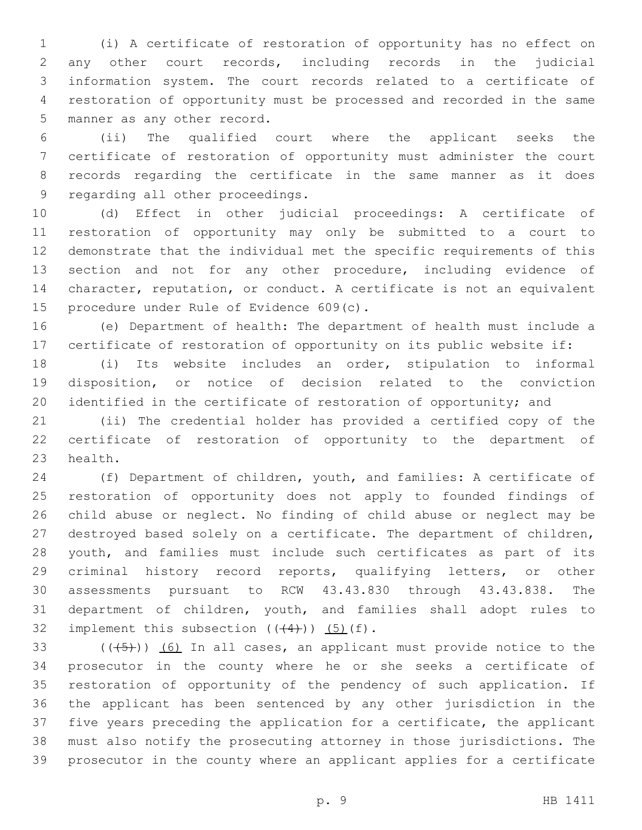(i) A certificate of restoration of opportunity has no effect on any other court records, including records in the judicial information system. The court records related to a certificate of restoration of opportunity must be processed and recorded in the same 5 manner as any other record.

 (ii) The qualified court where the applicant seeks the certificate of restoration of opportunity must administer the court records regarding the certificate in the same manner as it does 9 regarding all other proceedings.

 (d) Effect in other judicial proceedings: A certificate of restoration of opportunity may only be submitted to a court to demonstrate that the individual met the specific requirements of this section and not for any other procedure, including evidence of character, reputation, or conduct. A certificate is not an equivalent 15 procedure under Rule of Evidence 609(c).

 (e) Department of health: The department of health must include a certificate of restoration of opportunity on its public website if:

 (i) Its website includes an order, stipulation to informal disposition, or notice of decision related to the conviction 20 identified in the certificate of restoration of opportunity; and

 (ii) The credential holder has provided a certified copy of the certificate of restoration of opportunity to the department of 23 health.

 (f) Department of children, youth, and families: A certificate of restoration of opportunity does not apply to founded findings of child abuse or neglect. No finding of child abuse or neglect may be destroyed based solely on a certificate. The department of children, youth, and families must include such certificates as part of its criminal history record reports, qualifying letters, or other assessments pursuant to RCW 43.43.830 through 43.43.838. The department of children, youth, and families shall adopt rules to 32 implement this subsection  $((+4))$   $(5)$   $(f)$ .

 $((+5+))$  (6) In all cases, an applicant must provide notice to the prosecutor in the county where he or she seeks a certificate of restoration of opportunity of the pendency of such application. If the applicant has been sentenced by any other jurisdiction in the five years preceding the application for a certificate, the applicant must also notify the prosecuting attorney in those jurisdictions. The prosecutor in the county where an applicant applies for a certificate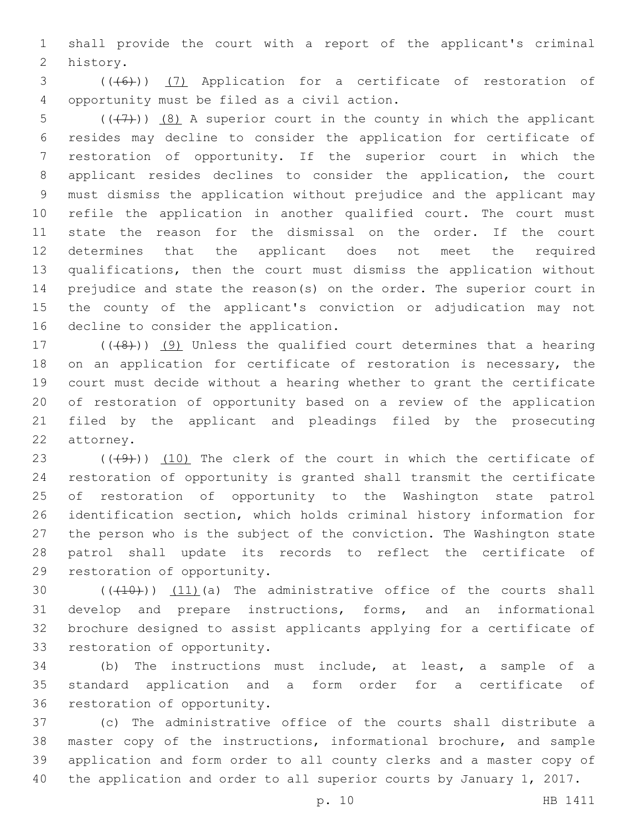shall provide the court with a report of the applicant's criminal 2 history.

3 (((6)) (7) Application for a certificate of restoration of opportunity must be filed as a civil action.4

5 ( $($ ( $($  $+7$ )))  $($ 8) A superior court in the county in which the applicant resides may decline to consider the application for certificate of restoration of opportunity. If the superior court in which the applicant resides declines to consider the application, the court must dismiss the application without prejudice and the applicant may refile the application in another qualified court. The court must state the reason for the dismissal on the order. If the court determines that the applicant does not meet the required qualifications, then the court must dismiss the application without prejudice and state the reason(s) on the order. The superior court in the county of the applicant's conviction or adjudication may not 16 decline to consider the application.

17 (((8)) (9) Unless the qualified court determines that a hearing 18 on an application for certificate of restoration is necessary, the court must decide without a hearing whether to grant the certificate of restoration of opportunity based on a review of the application filed by the applicant and pleadings filed by the prosecuting 22 attorney.

 $((49)$ )  $(10)$  The clerk of the court in which the certificate of restoration of opportunity is granted shall transmit the certificate of restoration of opportunity to the Washington state patrol identification section, which holds criminal history information for the person who is the subject of the conviction. The Washington state patrol shall update its records to reflect the certificate of 29 restoration of opportunity.

 $((+10))$   $(11)$  (a) The administrative office of the courts shall develop and prepare instructions, forms, and an informational brochure designed to assist applicants applying for a certificate of 33 restoration of opportunity.

 (b) The instructions must include, at least, a sample of a standard application and a form order for a certificate of 36 restoration of opportunity.

 (c) The administrative office of the courts shall distribute a master copy of the instructions, informational brochure, and sample application and form order to all county clerks and a master copy of the application and order to all superior courts by January 1, 2017.